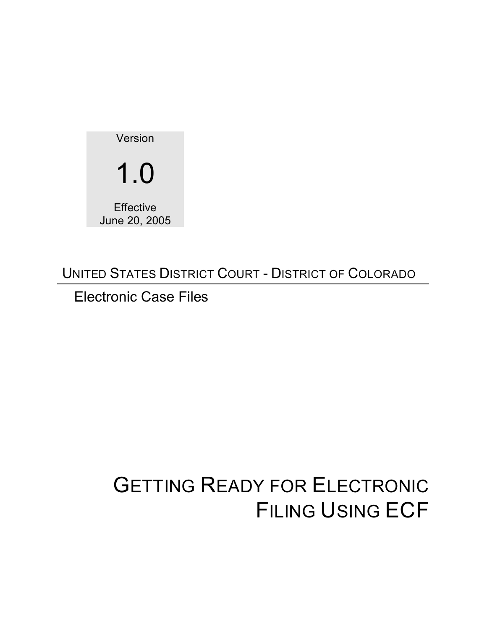

UNITED STATES DISTRICT COURT - DISTRICT OF COLORADO

Electronic Case Files

# GETTING READY FOR ELECTRONIC FILING USING ECF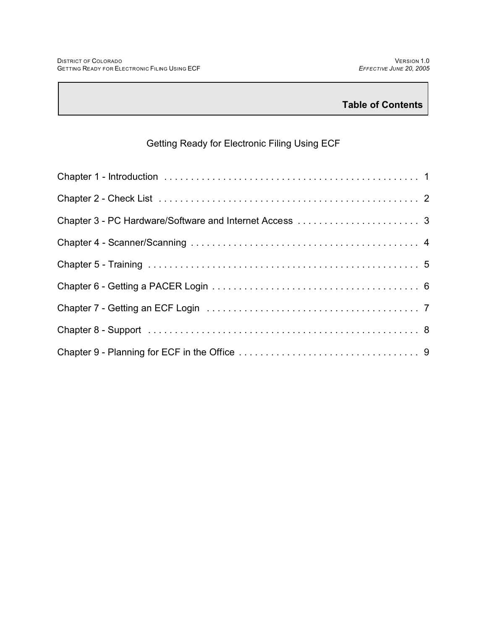## Getting Ready for Electronic Filing Using ECF

| Chapter 3 - PC Hardware/Software and Internet Access  3 |
|---------------------------------------------------------|
|                                                         |
|                                                         |
|                                                         |
|                                                         |
|                                                         |
|                                                         |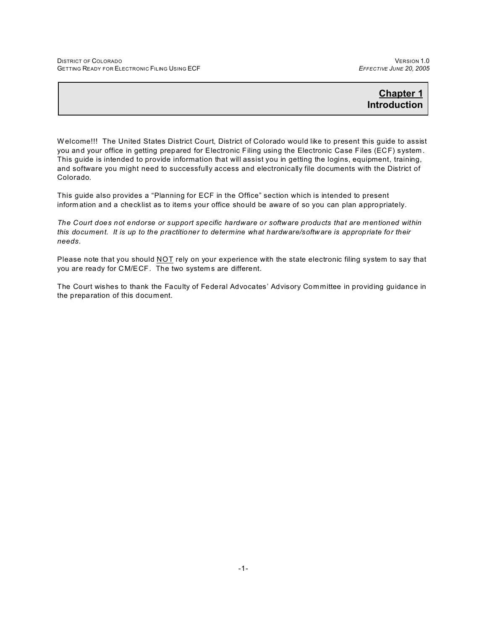## **Chapter 1 Introduction**

W elcome!!! The United States District Court, District of Colorado would like to present this guide to assist you and your office in getting prepared for Electronic Filing using the Electronic Case Files (ECF) system . This guide is intended to provide information that will assist you in getting the logins, equipment, training, and software you might need to successfully access and electronically file documents with the District of Colorado.

This guide also provides a "Planning for ECF in the Office" section which is intended to present inform ation and a checklist as to item s your office should be aware of so you can plan appropriately.

*The Court does not endorse or support specific hardware or software products that are mentioned within this document. It is up to the practitioner to determine what hardware/software is appropriate for their needs.*

Please note that you should NOT rely on your experience with the state electronic filing system to say that you are ready for CM/ECF. The two system s are different.

The Court wishes to thank the Faculty of Federal Advocates' Advisory Committee in providing guidance in the preparation of this document.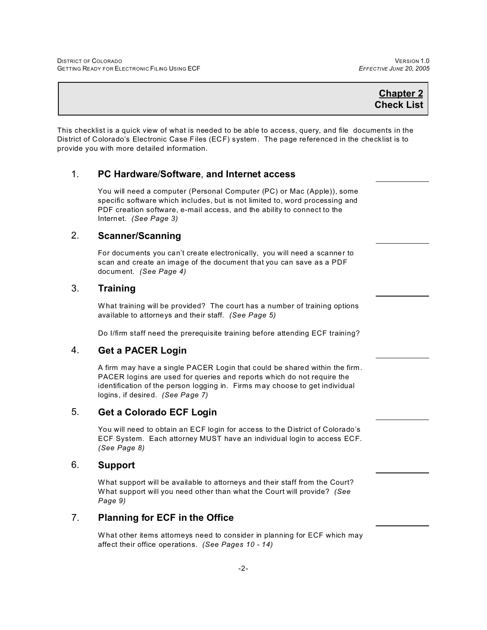This checklist is a quick view of what is needed to be able to access, query, and file documents in the District of Colorado's Electronic Case Files (ECF) system . The page referenced in the checklist is to provide you with more detailed information.

## 1. **PC Hardware**/**Software**, **and Internet access**

You will need a computer (Personal Computer (PC) or Mac (Apple)), some specific software which includes, but is not limited to, word processing and PDF creation software, e-mail access, and the ability to connect to the Internet. *(See Page 3)*

## 2. **Scanner/Scanning**

For documents you can't create electronically, you will need a scanner to scan and create an image of the document that you can save as a PDF document. *(See Page 4)*

#### 3. **Training**

W hat training will be provided? The court has a number of training options available to attorneys and their staff. *(See Page 5)*

Do I/firm staff need the prerequisite training before attending ECF training?

## 4. **Get a PACER Login**

A firm may have a single PACER Login that could be shared within the firm . PACER logins are used for queries and reports which do not require the identification of the person logging in. Firms m ay choose to get individual logins, if desired. *(See Page 7)* 

## 5. **Get a Colorado ECF Login**

You will need to obtain an ECF login for access to the District of Colorado's ECF System. Each attorney MUST have an individual login to access ECF. *(See Page 8)*

#### 6. **Support**

W hat support will be available to attorneys and their staff from the Court? W hat support will you need other than what the Court will provide? *(See Page 9)*

## 7. **Planning for ECF in the Office**

W hat other items attorneys need to consider in planning for ECF which may affect their office operations. *(See Pages 10 - 14)*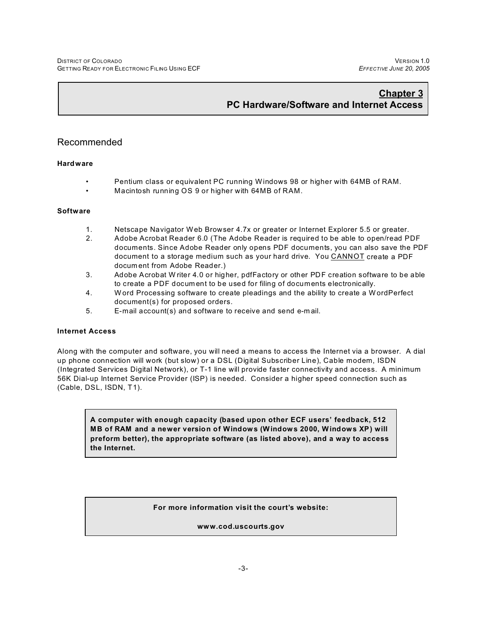## **Chapter 3 PC Hardware/Software and Internet Access**

## Recommended

#### **Hardware**

- Pentium class or equivalent PC running Windows 98 or higher with 64MB of RAM.
- Macintosh running OS 9 or higher with 64MB of RAM.

#### **Software**

- 1. Netscape Navigator Web Browser 4.7x or greater or Internet Explorer 5.5 or greater.
- 2. Adobe Acrobat Reader 6.0 (The Adobe Reader is required to be able to open/read PDF documents. Since Adobe Reader only opens PDF documents, you can also save the PDF document to a storage medium such as your hard drive. You CANNOT create a PDF docum ent from Adobe Reader.)
- 3. Adobe Acrobat W riter 4.0 or higher, pdfFactory or other PDF creation software to be able to create a PDF docum ent to be used for filing of documents electronically.
- 4. W ord Processing software to create pleadings and the ability to create a WordPerfect document(s) for proposed orders.
- 5. E-mail account(s) and software to receive and send e-m ail.

#### **Internet Access**

Along with the computer and software, you will need a means to access the Internet via a browser. A dial up phone connection will work (but slow) or a DSL (Digital Subscriber Line), Cable modem, ISDN (Integrated Services Digital Network), or T-1 line will provide faster connectivity and access. A minimum 56K Dial-up Internet Service Provider (ISP) is needed. Consider a higher speed connection such as (Cable, DSL, ISDN, T1).

**A computer with enough capacity (based upon other ECF users' feedback, 512 MB of RAM and a newer version of Windows (Windows 2000, Windows XP) will preform better), the appropriate software (as listed above), and a way to access the Internet.**

**For more information visit the court's website:**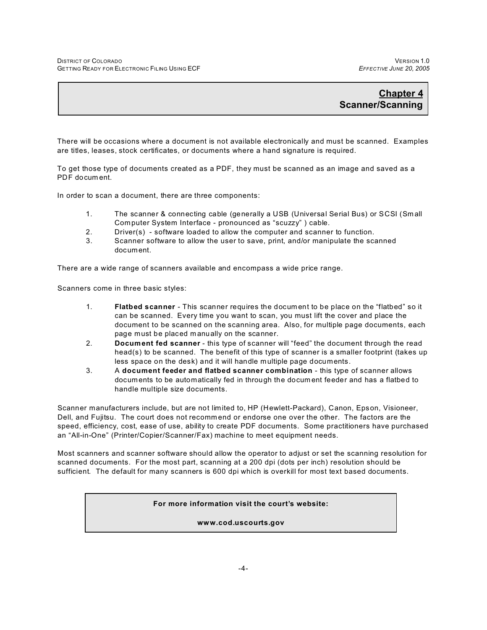## **Chapter 4 Scanner/Scanning**

There will be occasions where a document is not available electronically and must be scanned. Examples are titles, leases, stock certificates, or documents where a hand signature is required.

To get those type of documents created as a PDF, they must be scanned as an image and saved as a PDF docum ent.

In order to scan a document, there are three components:

- 1. The scanner & connecting cable (generally a USB (Universal Serial Bus) or SCSI (Sm all Computer System Interface - pronounced as "scuzzy" ) cable.
- 2. Driver(s) software loaded to allow the computer and scanner to function.
- 3. Scanner software to allow the user to save, print, and/or manipulate the scanned document.

There are a wide range of scanners available and encompass a wide price range.

Scanners come in three basic styles:

- 1. **Flatbed scanner**  This scanner requires the docum ent to be place on the "flatbed" so it can be scanned. Every time you want to scan, you must lift the cover and place the document to be scanned on the scanning area. Also, for multiple page documents, each page must be placed m anually on the scanner.
- 2. **Document fed scanner** this type of scanner will "feed" the document through the read head(s) to be scanned. The benefit of this type of scanner is a smaller footprint (takes up less space on the desk) and it will handle m ultiple page documents.
- 3. A **document feeder and flatbed scanner combination** this type of scanner allows documents to be automatically fed in through the docum ent feeder and has a flatbed to handle multiple size documents.

Scanner manufacturers include, but are not limited to, HP (Hewlett-Packard), Canon, Epson, Visioneer, Dell, and Fujitsu. The court does not recommend or endorse one over the other. The factors are the speed, efficiency, cost, ease of use, ability to create PDF documents. Some practitioners have purchased an "All-in-One" (Printer/Copier/Scanner/Fax) machine to meet equipment needs.

Most scanners and scanner software should allow the operator to adjust or set the scanning resolution for scanned documents. For the most part, scanning at a 200 dpi (dots per inch) resolution should be sufficient. The default for many scanners is 600 dpi which is overkill for most text based documents.

**For more information visit the court's website:**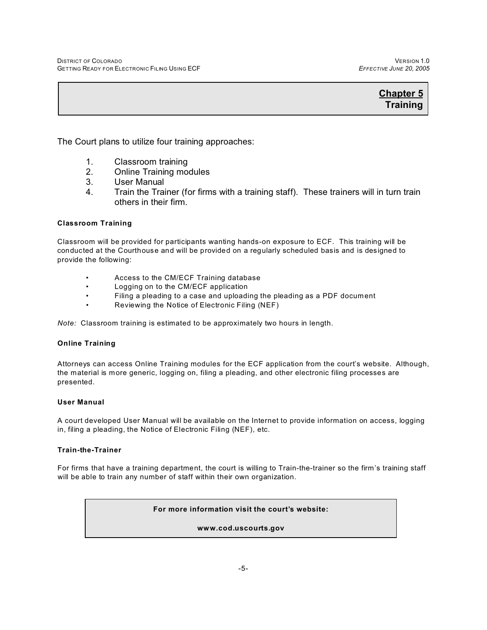The Court plans to utilize four training approaches:

- 
- 1. Classroom training<br>2. Online Training mo 2. Online Training modules
- 3. User Manual
- 4. Train the Trainer (for firms with a training staff). These trainers will in turn train others in their firm.

#### **Classroom Training**

Classroom will be provided for participants wanting hands-on exposure to ECF. This training will be conducted at the Courthouse and will be provided on a regularly scheduled basis and is designed to provide the following:

- Access to the CM/ECF Training database
- Logging on to the CM/ECF application
- Filing a pleading to a case and uploading the pleading as a PDF document
- Reviewing the Notice of Electronic Filing (NEF)

*Note:* Classroom training is estimated to be approximately two hours in length.

#### **Online Training**

Attorneys can access Online Training modules for the ECF application from the court's website. Although, the material is more generic, logging on, filing a pleading, and other electronic filing processes are presented.

#### **User Manual**

A court developed User Manual will be available on the Internet to provide information on access, logging in, filing a pleading, the Notice of Electronic Filing (NEF), etc.

#### **Train-the-Trainer**

For firms that have a training department, the court is willing to Train-the-trainer so the firm's training staff will be able to train any number of staff within their own organization.

#### **For more information visit the court's website:**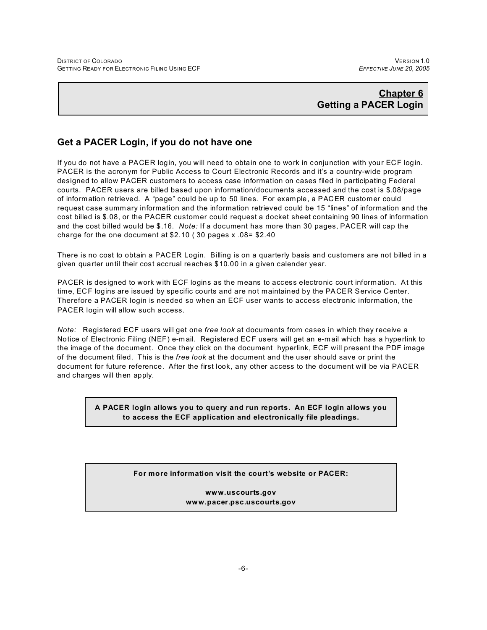## **Chapter 6 Getting a PACER Login**

## **Get a PACER Login, if you do not have one**

If you do not have a PACER login, you will need to obtain one to work in conjunction with your ECF login. PACER is the acronym for Public Access to Court Electronic Records and it's a country-wide program designed to allow PACER customers to access case information on cases filed in participating Federal courts. PACER users are billed based upon information/documents accessed and the cost is \$.08/page of information retrieved. A "page" could be up to 50 lines. For exam ple, a PACER customer could request case summ ary information and the information retrieved could be 15 "lines" of information and the cost billed is \$.08, or the PACER customer could request a docket sheet containing 90 lines of information and the cost billed would be \$.16. *Note:* If a document has more than 30 pages, PACER will cap the charge for the one document at \$2.10 ( 30 pages x .08= \$2.40

There is no cost to obtain a PACER Login. Billing is on a quarterly basis and customers are not billed in a given quarter until their cost accrual reaches \$10.00 in a given calender year.

PACER is designed to work with ECF logins as the m eans to access electronic court information. At this time, ECF logins are issued by specific courts and are not maintained by the PACER Service Center. Therefore a PACER login is needed so when an ECF user wants to access electronic information, the PACER login will allow such access.

*Note:*Registered ECF users will get one *free look* at documents from cases in which they receive a Notice of Electronic Filing (NEF) e-m ail. Registered ECF users will get an e-mail which has a hyperlink to the image of the document. Once they click on the document hyperlink, ECF will present the PDF image of the document filed. This is the *free look* at the document and the user should save or print the document for future reference. After the first look, any other access to the document will be via PACER and charges will then apply.

> **A PACER login allows you to query and run reports. An ECF login allows you to access the ECF application and electronically file pleadings.**

#### **For more information visit the court's website or PACER:**

**www.uscourts.gov www.pacer.psc.uscourts.gov**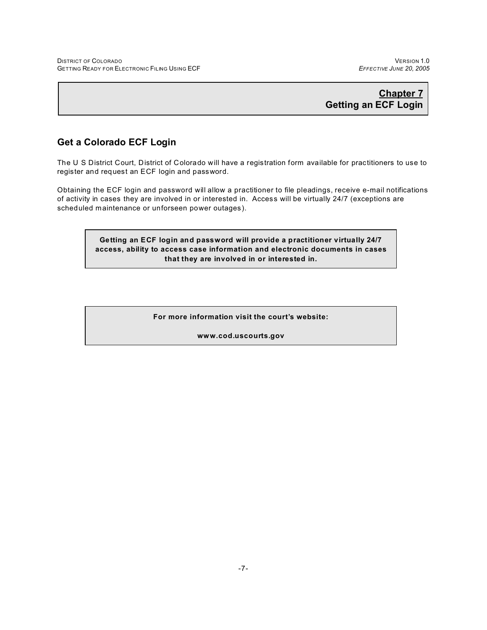## **Chapter 7 Getting an ECF Login**

## **Get a Colorado ECF Login**

The U S District Court, District of Colorado will have a registration form available for practitioners to use to register and request an ECF login and password.

Obtaining the ECF login and password will allow a practitioner to file pleadings, receive e-mail notifications of activity in cases they are involved in or interested in. Access will be virtually 24/7 (exceptions are scheduled maintenance or unforseen power outages).

> **Getting an ECF login and password will provide a practitioner virtually 24/7 access, ability to access case information and electronic documents in cases that they are involved in or interested in.**

> > **For more information visit the court's website:**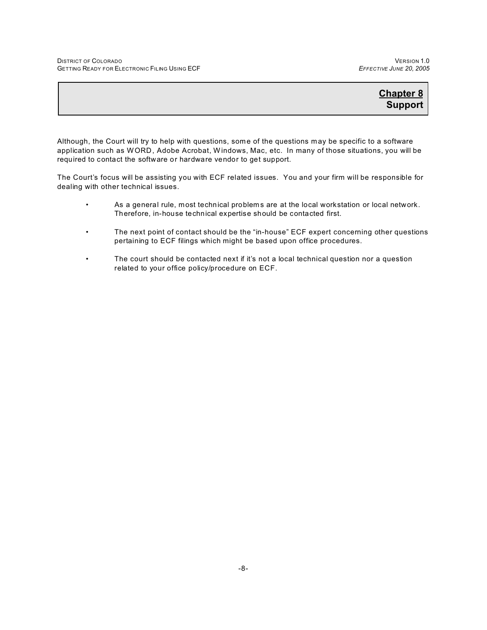Although, the Court will try to help with questions, some of the questions m ay be specific to a software application such as WORD, Adobe Acrobat, W indows, Mac, etc. In many of those situations, you will be required to contact the software or hardware vendor to get support.

The Court's focus will be assisting you with ECF related issues. You and your firm will be responsible for dealing with other technical issues.

- As a general rule, most technical problem s are at the local workstation or local network. Therefore, in-house technical expertise should be contacted first.
- The next point of contact should be the "in-house" ECF expert concerning other questions pertaining to ECF filings which might be based upon office procedures.
- The court should be contacted next if it's not a local technical question nor a question related to your office policy/procedure on ECF.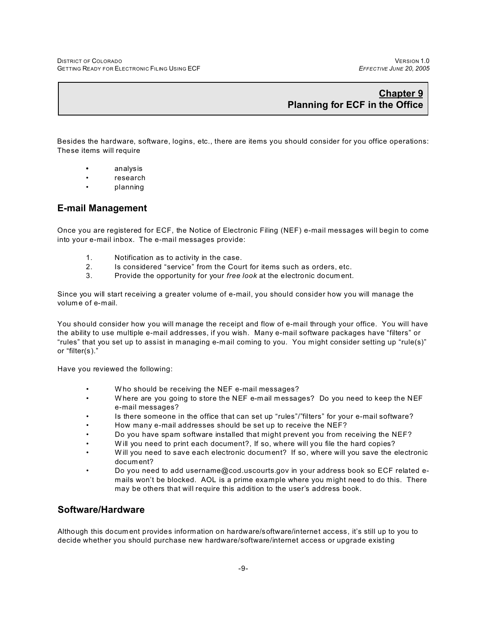## **Chapter 9 Planning for ECF in the Office**

Besides the hardware, software, logins, etc., there are items you should consider for you office operations: These items will require

- **•** analysis
- research
- planning

#### **E-mail Management**

Once you are registered for ECF, the Notice of Electronic Filing (NEF) e-mail messages will begin to come into your e-mail inbox. The e-mail messages provide:

- 1. Notification as to activity in the case.
- 2. Is considered "service" from the Court for items such as orders, etc.
- 3. Provide the opportunity for your *free look* at the electronic docum ent.

Since you will start receiving a greater volume of e-mail, you should consider how you will manage the volum e of e-mail.

You should consider how you will manage the receipt and flow of e-mail through your office. You will have the ability to use multiple e-mail addresses, if you wish. Many e-mail software packages have "filters" or "rules" that you set up to assist in managing e-m ail coming to you. You might consider setting up "rule(s)" or "filter(s)."

Have you reviewed the following:

- W ho should be receiving the NEF e-mail messages?
- W here are you going to store the NEF e-m ail m essages? Do you need to keep the NEF e-mail messages?
- Is there someone in the office that can set up "rules"/"filters" for your e-mail software?
- How many e-mail addresses should be set up to receive the NEF?
- Do you have spam software installed that might prevent you from receiving the NEF?
- W ill you need to print each document?, If so, where will you file the hard copies?
- W ill you need to save each electronic document? If so, where will you save the electronic document?
- Do you need to add username@cod.uscourts.gov in your address book so ECF related emails won't be blocked. AOL is a prime example where you might need to do this. There may be others that will require this addition to the user's address book.

## **Software/Hardware**

Although this docum ent provides information on hardware/software/internet access, it's still up to you to decide whether you should purchase new hardware/software/internet access or upgrade existing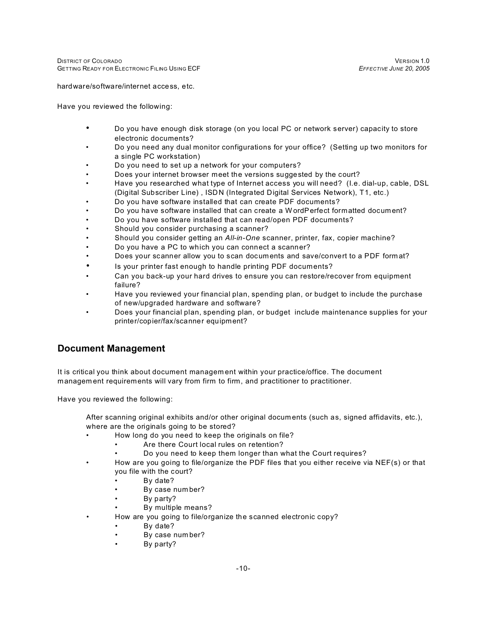hardware/software/internet access, etc.

Have you reviewed the following:

- Do you have enough disk storage (on you local PC or network server) capacity to store electronic documents?
- Do you need any dual monitor configurations for your office? (Setting up two monitors for a single PC workstation)
- Do you need to set up a network for your computers?
- Does your internet browser meet the versions suggested by the court?
- Have you researched what type of Internet access you will need? (I.e. dial-up, cable, DSL (Digital Subscriber Line) , ISDN (Integrated Digital Services Network), T1, etc.)
- Do you have software installed that can create PDF documents?
- Do you have software installed that can create a W ordPerfect formatted document?
- Do you have software installed that can read/open PDF documents?
- Should you consider purchasing a scanner?
- Should you consider getting an *All-in-One* scanner, printer, fax, copier machine?
- Do you have a PC to which you can connect a scanner?
- Does your scanner allow you to scan documents and save/convert to a PDF form at?
- Is your printer fast enough to handle printing PDF documents?
- Can you back-up your hard drives to ensure you can restore/recover from equipment failure?
- Have you reviewed your financial plan, spending plan, or budget to include the purchase of new/upgraded hardware and software?
- Does your financial plan, spending plan, or budget include maintenance supplies for your printer/copier/fax/scanner equipment?

## **Document Management**

It is critical you think about document managem ent within your practice/office. The document managem ent requirements will vary from firm to firm, and practitioner to practitioner.

Have you reviewed the following:

After scanning original exhibits and/or other original docum ents (such as, signed affidavits, etc.), where are the originals going to be stored?

- How long do you need to keep the originals on file?
	- Are there Court local rules on retention?
	- Do you need to keep them longer than what the Court requires?
- How are you going to file/organize the PDF files that you either receive via NEF(s) or that you file with the court?
	- By date?
	- By case number?
	- By party?
	- By multiple means?
- How are you going to file/organize the scanned electronic copy?
	- By date?
	- By case num ber?
	- By party?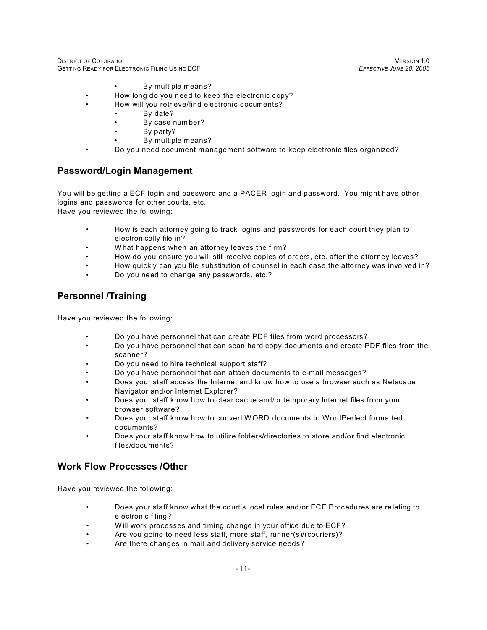DISTRICT OF COLORADO VERSION 1.0<br>GETTING READY FOR ELECTRONIC FILING USING ECF STATE STATE STATE SECTIVE JUNE 20, 2005 GETTING READY FOR ELECTRONIC FILING USING ECF *EFFECTIVE JUNE 20, 2005*

- By multiple means?
- How long do you need to keep the electronic copy?
- How will you retrieve/find electronic documents?
	- By date?
		- By case number?
		- By party?
		- By multiple means?
- Do you need document management software to keep electronic files organized?

## **Password/Login Management**

You will be getting a ECF login and password and a PACER login and password. You might have other logins and passwords for other courts, etc.

Have you reviewed the following:

- How is each attorney going to track logins and passwords for each court they plan to electronically file in?
- W hat happens when an attorney leaves the firm?
- How do you ensure you will still receive copies of orders, etc. after the attorney leaves?
- How quickly can you file substitution of counsel in each case the attorney was involved in?
- Do you need to change any passwords, etc.?

## **Personnel /Training**

Have you reviewed the following:

- Do you have personnel that can create PDF files from word processors?
- Do you have personnel that can scan hard copy documents and create PDF files from the scanner?
- Do you need to hire technical support staff?
- Do you have personnel that can attach documents to e-mail messages?
- Does your staff access the Internet and know how to use a browser such as Netscape Navigator and/or Internet Explorer?
- Does your staff know how to clear cache and/or temporary Internet files from your browser software?
- Does your staff know how to convert W ORD documents to WordPerfect formatted documents?
- Does your staff know how to utilize folders/directories to store and/or find electronic files/documents?

## **Work Flow Processes /Other**

Have you reviewed the following:

- Does your staff know what the court's local rules and/or ECF Procedures are relating to electronic filing?
- Will work processes and timing change in your office due to ECF?
- Are you going to need less staff, more staff, runner(s)/(couriers)?
- Are there changes in mail and delivery service needs?